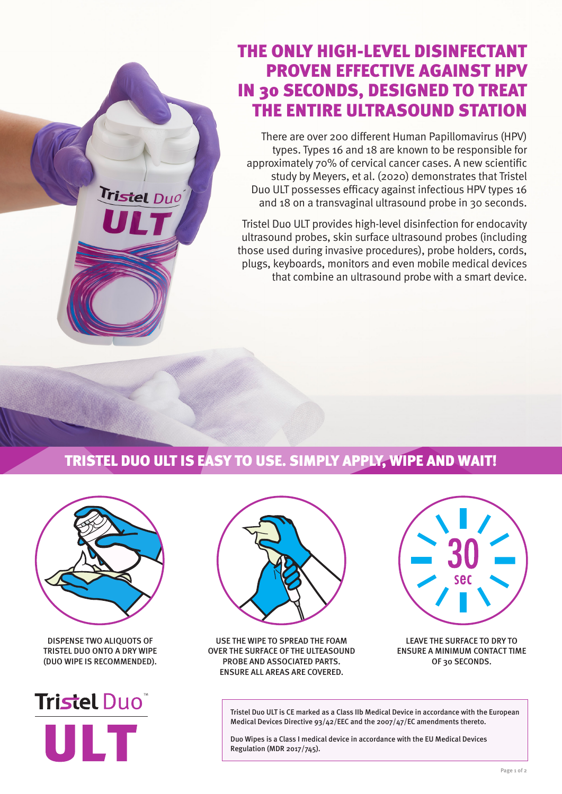## THE ONLY HIGH-LEVEL DISINFECTANT PROVEN EFFECTIVE AGAINST HPV IN 30 SECONDS, DESIGNED TO TREAT THE ENTIRE ULTRASOUND STATION

There are over 200 different Human Papillomavirus (HPV) types. Types 16 and 18 are known to be responsible for approximately 70% of cervical cancer cases. A new scientific study by Meyers, et al. (2020) demonstrates that Tristel Duo ULT possesses efficacy against infectious HPV types 16 and 18 on a transvaginal ultrasound probe in 30 seconds.

Tristel Duo ULT provides high-level disinfection for endocavity ultrasound probes, skin surface ultrasound probes (including those used during invasive procedures), probe holders, cords, plugs, keyboards, monitors and even mobile medical devices that combine an ultrasound probe with a smart device.

## TRISTEL DUO ULT IS EASY TO USE. SIMPLY APPLY, WIPE AND WAIT!



Tristel Duo

DISPENSE TWO ALIQUOTS OF TRISTEL DUO ONTO A DRY WIPE (DUO WIPE IS RECOMMENDED).





USE THE WIPE TO SPREAD THE FOAM OVER THE SURFACE OF THE ULTEASOUND PROBE AND ASSOCIATED PARTS. ENSURE ALL AREAS ARE COVERED.



LEAVE THE SURFACE TO DRY TO ENSURE A MINIMUM CONTACT TIME OF 30 SECONDS.

Tristel Duo ULT is CE marked as a Class IIb Medical Device in accordance with the European Medical Devices Directive 93/42/EEC and the 2007/47/EC amendments thereto.

Duo Wipes is a Class I medical device in accordance with the EU Medical Devices Regulation (MDR 2017/745).